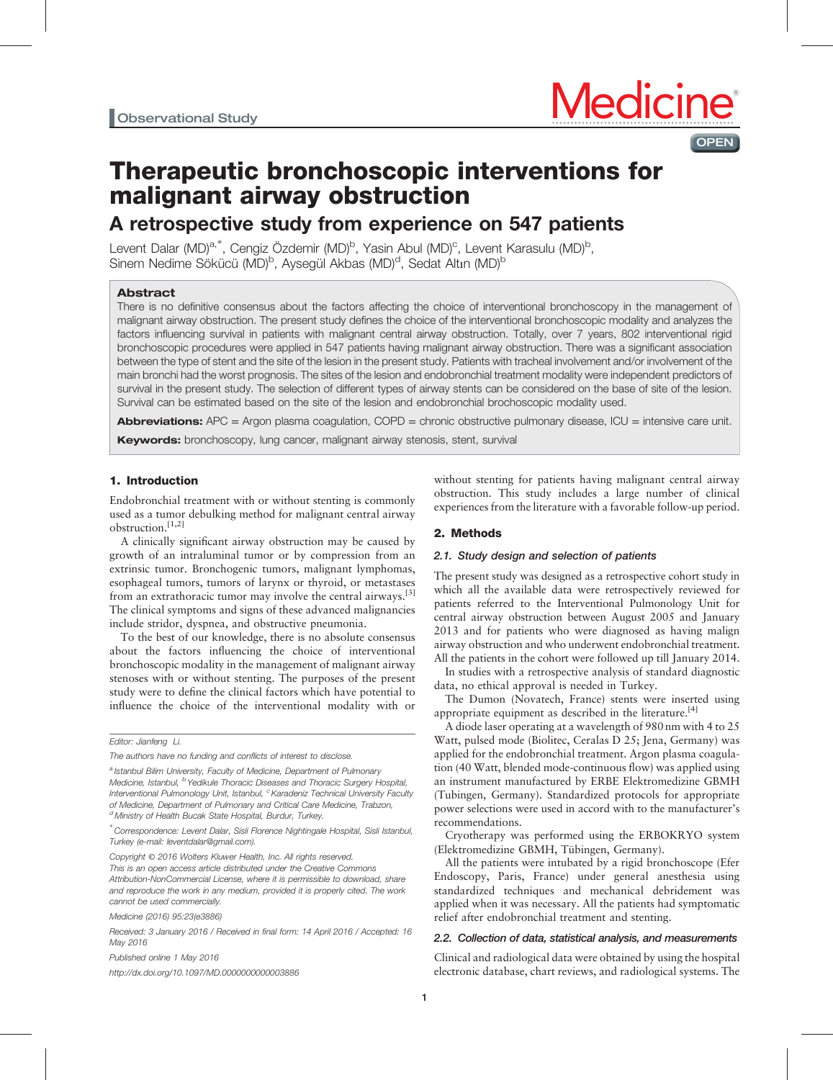

## **OPEN**

# Therapeutic bronchoscopic interventions for malignant airway obstruction

## A retrospective study from experience on 547 patients

Levent Dalar (MD)<sup>a,\*</sup>, Cengiz Özdemir (MD)<sup>b</sup>, Yasin Abul (MD)<sup>c</sup>, Levent Karasulu (MD)<sup>b</sup>, Sinem Nedime Sökücü (MD)<sup>b</sup>, Aysegül Akbas (MD)<sup>d</sup>, Sedat Altın (MD)<sup>b</sup>

## Abstract

There is no definitive consensus about the factors affecting the choice of interventional bronchoscopy in the management of malignant airway obstruction. The present study defines the choice of the interventional bronchoscopic modality and analyzes the factors influencing survival in patients with malignant central airway obstruction. Totally, over 7 years, 802 interventional rigid bronchoscopic procedures were applied in 547 patients having malignant airway obstruction. There was a significant association between the type of stent and the site of the lesion in the present study. Patients with tracheal involvement and/or involvement of the main bronchi had the worst prognosis. The sites of the lesion and endobronchial treatment modality were independent predictors of survival in the present study. The selection of different types of airway stents can be considered on the base of site of the lesion. Survival can be estimated based on the site of the lesion and endobronchial brochoscopic modality used.

Abbreviations: APC = Argon plasma coagulation, COPD = chronic obstructive pulmonary disease, ICU = intensive care unit. Keywords: bronchoscopy, lung cancer, malignant airway stenosis, stent, survival

## 1. Introduction

Endobronchial treatment with or without stenting is commonly used as a tumor debulking method for malignant central airway obstruction.[1,2]

A clinically significant airway obstruction may be caused by growth of an intraluminal tumor or by compression from an extrinsic tumor. Bronchogenic tumors, malignant lymphomas, esophageal tumors, tumors of larynx or thyroid, or metastases from an extrathoracic tumor may involve the central airways.<sup>[\[3\]](#page-5-0)</sup> The clinical symptoms and signs of these advanced malignancies include stridor, dyspnea, and obstructive pneumonia.

To the best of our knowledge, there is no absolute consensus about the factors influencing the choice of interventional bronchoscopic modality in the management of malignant airway stenoses with or without stenting. The purposes of the present study were to define the clinical factors which have potential to influence the choice of the interventional modality with or

a Istanbul Bilim University, Faculty of Medicine, Department of Pulmonary Medicine, Istanbul, <sup>b</sup> Yedikule Thoracic Diseases and Thoracic Surgery Hospital, Interventional Pulmonology Unit, Istanbul, <sup>c</sup> Karadeniz Technical University Faculty of Medicine, Department of Pulmonary and Critical Care Medicine, Trabzon, <sup>d</sup> Ministry of Health Bucak State Hospital, Burdur, Turkey.

Copyright © 2016 Wolters Kluwer Health, Inc. All rights reserved. This is an open access article distributed under the Creative Commons Attribution-NonCommercial License, where it is permissible to download, share and reproduce the work in any medium, provided it is properly cited. The work cannot be used commercially.

Medicine (2016) 95:23(e3886)

Received: 3 January 2016 / Received in final form: 14 April 2016 / Accepted: 16 May 2016

Published online 1 May 2016

<http://dx.doi.org/10.1097/MD.0000000000003886>

without stenting for patients having malignant central airway obstruction. This study includes a large number of clinical experiences from the literature with a favorable follow-up period.

## 2. Methods

### 2.1. Study design and selection of patients

The present study was designed as a retrospective cohort study in which all the available data were retrospectively reviewed for patients referred to the Interventional Pulmonology Unit for central airway obstruction between August 2005 and January 2013 and for patients who were diagnosed as having malign airway obstruction and who underwent endobronchial treatment. All the patients in the cohort were followed up till January 2014.

In studies with a retrospective analysis of standard diagnostic data, no ethical approval is needed in Turkey.

The Dumon (Novatech, France) stents were inserted using appropriate equipment as described in the literature.<sup>[\[4\]](#page-5-0)</sup>

A diode laser operating at a wavelength of 980 nm with 4 to 25 Watt, pulsed mode (Biolitec, Ceralas D 25; Jena, Germany) was applied for the endobronchial treatment. Argon plasma coagulation (40 Watt, blended mode-continuous flow) was applied using an instrument manufactured by ERBE Elektromedizine GBMH (Tubingen, Germany). Standardized protocols for appropriate power selections were used in accord with to the manufacturer's recommendations.

Cryotherapy was performed using the ERBOKRYO system (Elektromedizine GBMH, Tübingen, Germany).

All the patients were intubated by a rigid bronchoscope (Efer Endoscopy, Paris, France) under general anesthesia using standardized techniques and mechanical debridement was applied when it was necessary. All the patients had symptomatic relief after endobronchial treatment and stenting.

## 2.2. Collection of data, statistical analysis, and measurements

Clinical and radiological data were obtained by using the hospital electronic database, chart reviews, and radiological systems. The

Editor: Jianfeng Li.

The authors have no funding and conflicts of interest to disclose.

<sup>∗</sup> Correspondence: Levent Dalar, Sisli Florence Nightingale Hospital, Sisli Istanbul, Turkey (e-mail: [leventdalar@gmail.com\).](mailto:leventdalar@gmail.com).)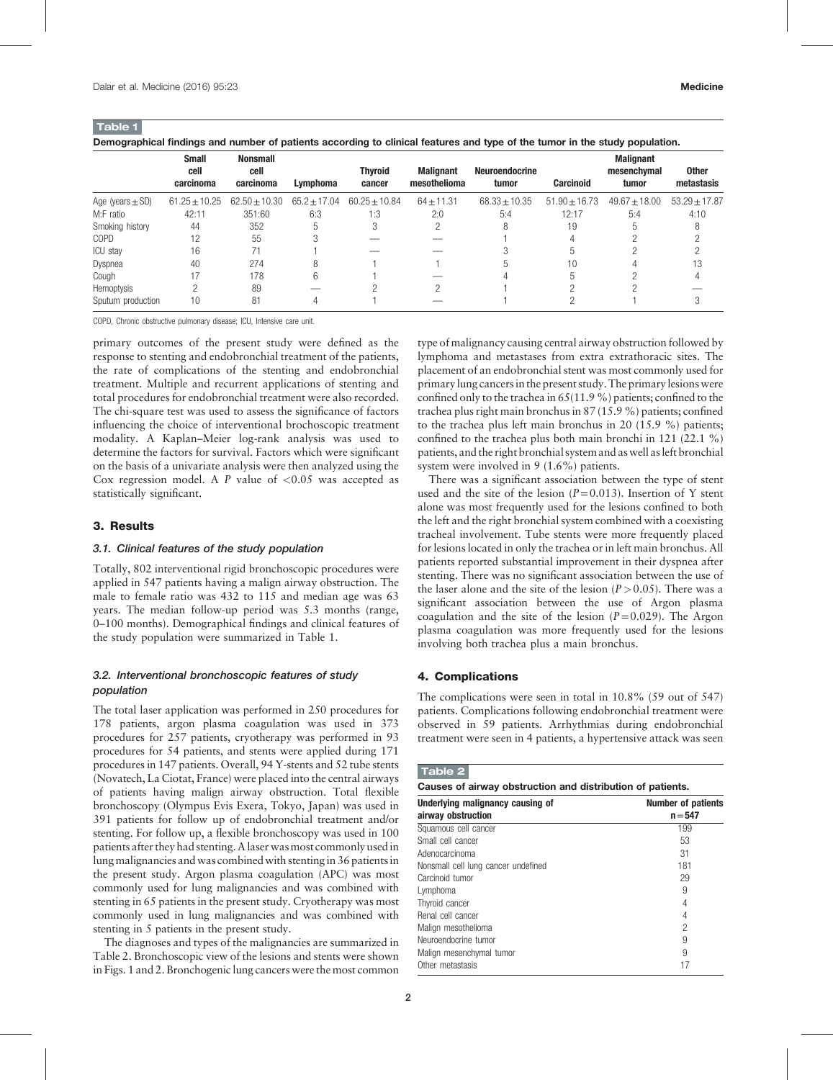Table 1 Demographical findings and number of patients according to clinical features and type of the tumor in the study population.

|                      | <b>Small</b><br>cell<br>carcinoma | <b>Nonsmall</b><br>cell<br>carcinoma | Lymphoma         | <b>Thyroid</b><br>cancer | <b>Malignant</b><br>mesothelioma | <b>Neuroendocrine</b><br>tumor | <b>Carcinoid</b>  | <b>Malignant</b><br>mesenchymal<br>tumor | <b>Other</b><br>metastasis |
|----------------------|-----------------------------------|--------------------------------------|------------------|--------------------------|----------------------------------|--------------------------------|-------------------|------------------------------------------|----------------------------|
| Age (years $\pm$ SD) | $61.25 \pm 10.25$                 | $62.50 \pm 10.30$                    | $65.2 \pm 17.04$ | $60.25 + 10.84$          | $64 \pm 11.31$                   | $68.33 \pm 10.35$              | $51.90 \pm 16.73$ | $49.67 + 18.00$                          | $53.29 \pm 17.87$          |
| M:F ratio            | 42:11                             | 351:60                               | 6:3              | 1:3                      | 2:0                              | 5:4                            | 12:17             | 5:4                                      | 4:10                       |
| Smoking history      | 44                                | 352                                  | 5                |                          |                                  |                                | 19                |                                          |                            |
| <b>COPD</b>          | 12                                | 55                                   |                  |                          |                                  |                                |                   |                                          |                            |
| <b>ICU</b> stay      | 16                                | 71                                   |                  |                          |                                  |                                |                   |                                          |                            |
| Dyspnea              | 40                                | 274                                  | 8                |                          |                                  |                                | 10                |                                          | 13                         |
| Cough                | 17                                | 178                                  | 6                |                          |                                  |                                |                   |                                          |                            |
| Hemoptysis           |                                   | 89                                   |                  |                          |                                  |                                |                   |                                          |                            |
| Sputum production    | 10                                | 81                                   |                  |                          |                                  |                                |                   |                                          |                            |

COPD, Chronic obstructive pulmonary disease; ICU, Intensive care unit.

primary outcomes of the present study were defined as the response to stenting and endobronchial treatment of the patients, the rate of complications of the stenting and endobronchial treatment. Multiple and recurrent applications of stenting and total procedures for endobronchial treatment were also recorded. The chi-square test was used to assess the significance of factors influencing the choice of interventional brochoscopic treatment modality. A Kaplan–Meier log-rank analysis was used to determine the factors for survival. Factors which were significant on the basis of a univariate analysis were then analyzed using the Cox regression model. A  $P$  value of  $< 0.05$  was accepted as statistically significant.

#### 3. Results

#### 3.1. Clinical features of the study population

Totally, 802 interventional rigid bronchoscopic procedures were applied in 547 patients having a malign airway obstruction. The male to female ratio was 432 to 115 and median age was 63 years. The median follow-up period was 5.3 months (range, 0–100 months). Demographical findings and clinical features of the study population were summarized in Table 1.

### 3.2. Interventional bronchoscopic features of study population

The total laser application was performed in 250 procedures for 178 patients, argon plasma coagulation was used in 373 procedures for 257 patients, cryotherapy was performed in 93 procedures for 54 patients, and stents were applied during 171 procedures in 147 patients. Overall, 94 Y-stents and 52 tube stents (Novatech, La Ciotat, France) were placed into the central airways of patients having malign airway obstruction. Total flexible bronchoscopy (Olympus Evis Exera, Tokyo, Japan) was used in 391 patients for follow up of endobronchial treatment and/or stenting. For follow up, a flexible bronchoscopy was used in 100 patients after they had stenting. A laser was most commonly used in lung malignancies and was combined with stenting in 36 patients in the present study. Argon plasma coagulation (APC) was most commonly used for lung malignancies and was combined with stenting in 65 patients in the present study. Cryotherapy was most commonly used in lung malignancies and was combined with stenting in 5 patients in the present study.

The diagnoses and types of the malignancies are summarized in Table 2. Bronchoscopic view of the lesions and stents were shown in Figs. 1 and 2. Bronchogenic lung cancers were the most common

type of malignancy causing central airway obstruction followed by lymphoma and metastases from extra extrathoracic sites. The placement of an endobronchial stent was most commonly used for primary lung cancers in the present study. The primary lesions were confined only to the trachea in 65(11.9 %) patients; confined to the trachea plus right main bronchus in 87 (15.9 %) patients; confined to the trachea plus left main bronchus in 20 (15.9 %) patients; confined to the trachea plus both main bronchi in 121 (22.1 %) patients, and the right bronchial system and as well as left bronchial system were involved in 9 (1.6%) patients.

There was a significant association between the type of stent used and the site of the lesion  $(P=0.013)$ . Insertion of Y stent alone was most frequently used for the lesions confined to both the left and the right bronchial system combined with a coexisting tracheal involvement. Tube stents were more frequently placed for lesions located in only the trachea or in left main bronchus. All patients reported substantial improvement in their dyspnea after stenting. There was no significant association between the use of the laser alone and the site of the lesion  $(P>0.05)$ . There was a significant association between the use of Argon plasma coagulation and the site of the lesion  $(P=0.029)$ . The Argon plasma coagulation was more frequently used for the lesions involving both trachea plus a main bronchus.

### 4. Complications

The complications were seen in total in 10.8% (59 out of 547) patients. Complications following endobronchial treatment were observed in 59 patients. Arrhythmias during endobronchial treatment were seen in 4 patients, a hypertensive attack was seen

## Table 2

|  |  | Causes of airway obstruction and distribution of patients. |  |  |  |  |
|--|--|------------------------------------------------------------|--|--|--|--|
|--|--|------------------------------------------------------------|--|--|--|--|

| Underlying malignancy causing of<br>airway obstruction | <b>Number of patients</b><br>$n = 547$ |  |  |  |
|--------------------------------------------------------|----------------------------------------|--|--|--|
| Squamous cell cancer                                   | 199                                    |  |  |  |
| Small cell cancer                                      | 53                                     |  |  |  |
| Adenocarcinoma                                         | 31                                     |  |  |  |
| Nonsmall cell lung cancer undefined                    | 181                                    |  |  |  |
| Carcinoid tumor                                        | 29                                     |  |  |  |
| Lymphoma                                               | 9                                      |  |  |  |
| Thyroid cancer                                         | 4                                      |  |  |  |
| Renal cell cancer                                      | 4                                      |  |  |  |
| Malign mesothelioma                                    | 2                                      |  |  |  |
| Neuroendocrine tumor                                   | 9                                      |  |  |  |
| Malign mesenchymal tumor                               | 9                                      |  |  |  |
| Other metastasis                                       | 17                                     |  |  |  |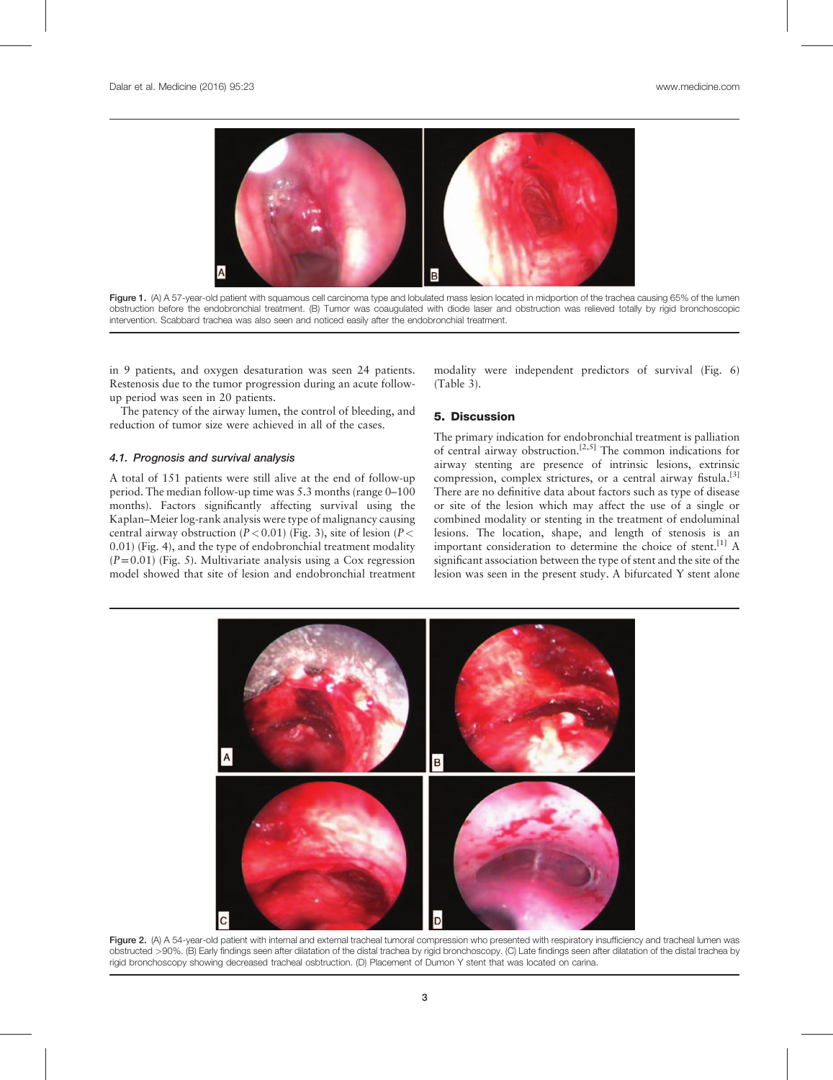

Figure 1. (A) A 57-year-old patient with squamous cell carcinoma type and lobulated mass lesion located in midportion of the trachea causing 65% of the lumen obstruction before the endobronchial treatment. (B) Tumor was coaugulated with diode laser and obstruction was relieved totally by rigid bronchoscopic intervention. Scabbard trachea was also seen and noticed easily after the endobronchial treatment.

in 9 patients, and oxygen desaturation was seen 24 patients. Restenosis due to the tumor progression during an acute followup period was seen in 20 patients.

The patency of the airway lumen, the control of bleeding, and reduction of tumor size were achieved in all of the cases.

#### 4.1. Prognosis and survival analysis

A total of 151 patients were still alive at the end of follow-up period. The median follow-up time was 5.3 months (range 0–100 months). Factors significantly affecting survival using the Kaplan–Meier log-rank analysis were type of malignancy causing central airway obstruction ( $P < 0.01$ ) ([Fig. 3\)](#page-3-0), site of lesion ( $P <$ 0.01) [\(Fig. 4\)](#page-3-0), and the type of endobronchial treatment modality  $(P=0.01)$  [\(Fig. 5\)](#page-3-0). Multivariate analysis using a Cox regression model showed that site of lesion and endobronchial treatment modality were independent predictors of survival [\(Fig. 6\)](#page-3-0) ([Table 3](#page-4-0)).

## 5. Discussion

The primary indication for endobronchial treatment is palliation of central airway obstruction.[2,5] The common indications for airway stenting are presence of intrinsic lesions, extrinsic compression, complex strictures, or a central airway fistula.<sup>[\[3\]](#page-5-0)</sup> There are no definitive data about factors such as type of disease or site of the lesion which may affect the use of a single or combined modality or stenting in the treatment of endoluminal lesions. The location, shape, and length of stenosis is an important consideration to determine the choice of stent.<sup>[\[1\]](#page-5-0)</sup> A significant association between the type of stent and the site of the lesion was seen in the present study. A bifurcated Y stent alone



Figure 2. (A) A 54-year-old patient with internal and external tracheal tumoral compression who presented with respiratory insufficiency and tracheal lumen was obstructed >90%. (B) Early findings seen after dilatation of the distal trachea by rigid bronchoscopy. (C) Late findings seen after dilatation of the distal trachea by rigid bronchoscopy showing decreased tracheal osbtruction. (D) Placement of Dumon Y stent that was located on carina.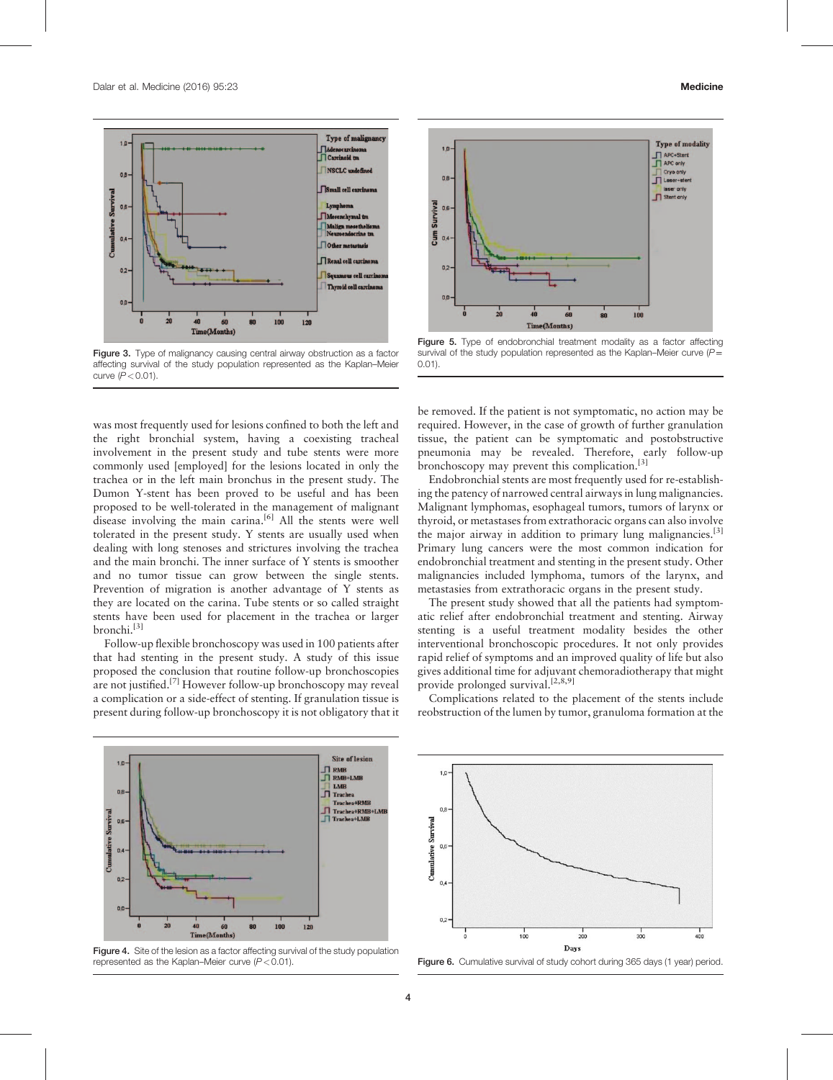<span id="page-3-0"></span>

Figure 3. Type of malignancy causing central airway obstruction as a factor affecting survival of the study population represented as the Kaplan–Meier curve  $(P < 0.01)$ .

was most frequently used for lesions confined to both the left and the right bronchial system, having a coexisting tracheal involvement in the present study and tube stents were more commonly used [employed] for the lesions located in only the trachea or in the left main bronchus in the present study. The Dumon Y-stent has been proved to be useful and has been proposed to be well-tolerated in the management of malignant disease involving the main carina.<sup>[\[6\]](#page-5-0)</sup> All the stents were well tolerated in the present study. Y stents are usually used when dealing with long stenoses and strictures involving the trachea and the main bronchi. The inner surface of Y stents is smoother and no tumor tissue can grow between the single stents. Prevention of migration is another advantage of Y stents as they are located on the carina. Tube stents or so called straight stents have been used for placement in the trachea or larger bronchi.[\[3\]](#page-5-0)

Follow-up flexible bronchoscopy was used in 100 patients after that had stenting in the present study. A study of this issue proposed the conclusion that routine follow-up bronchoscopies are not justified.[\[7\]](#page-5-0) However follow-up bronchoscopy may reveal a complication or a side-effect of stenting. If granulation tissue is present during follow-up bronchoscopy it is not obligatory that it



Figure 4. Site of the lesion as a factor affecting survival of the study population represented as the Kaplan–Meier curve  $(P < 0.01)$ .



Figure 5. Type of endobronchial treatment modality as a factor affecting survival of the study population represented as the Kaplan–Meier curve  $(P=$ 0.01).

be removed. If the patient is not symptomatic, no action may be required. However, in the case of growth of further granulation tissue, the patient can be symptomatic and postobstructive pneumonia may be revealed. Therefore, early follow-up bronchoscopy may prevent this complication.[\[3\]](#page-5-0)

Endobronchial stents are most frequently used for re-establishing the patency of narrowed central airways in lung malignancies. Malignant lymphomas, esophageal tumors, tumors of larynx or thyroid, or metastases from extrathoracic organs can also involve the major airway in addition to primary lung malignancies.<sup>[\[3\]](#page-5-0)</sup> Primary lung cancers were the most common indication for endobronchial treatment and stenting in the present study. Other malignancies included lymphoma, tumors of the larynx, and metastasies from extrathoracic organs in the present study.

The present study showed that all the patients had symptomatic relief after endobronchial treatment and stenting. Airway stenting is a useful treatment modality besides the other interventional bronchoscopic procedures. It not only provides rapid relief of symptoms and an improved quality of life but also gives additional time for adjuvant chemoradiotherapy that might provide prolonged survival.<sup>[2,8,9]</sup>

Complications related to the placement of the stents include reobstruction of the lumen by tumor, granuloma formation at the



Figure 6. Cumulative survival of study cohort during 365 days (1 year) period.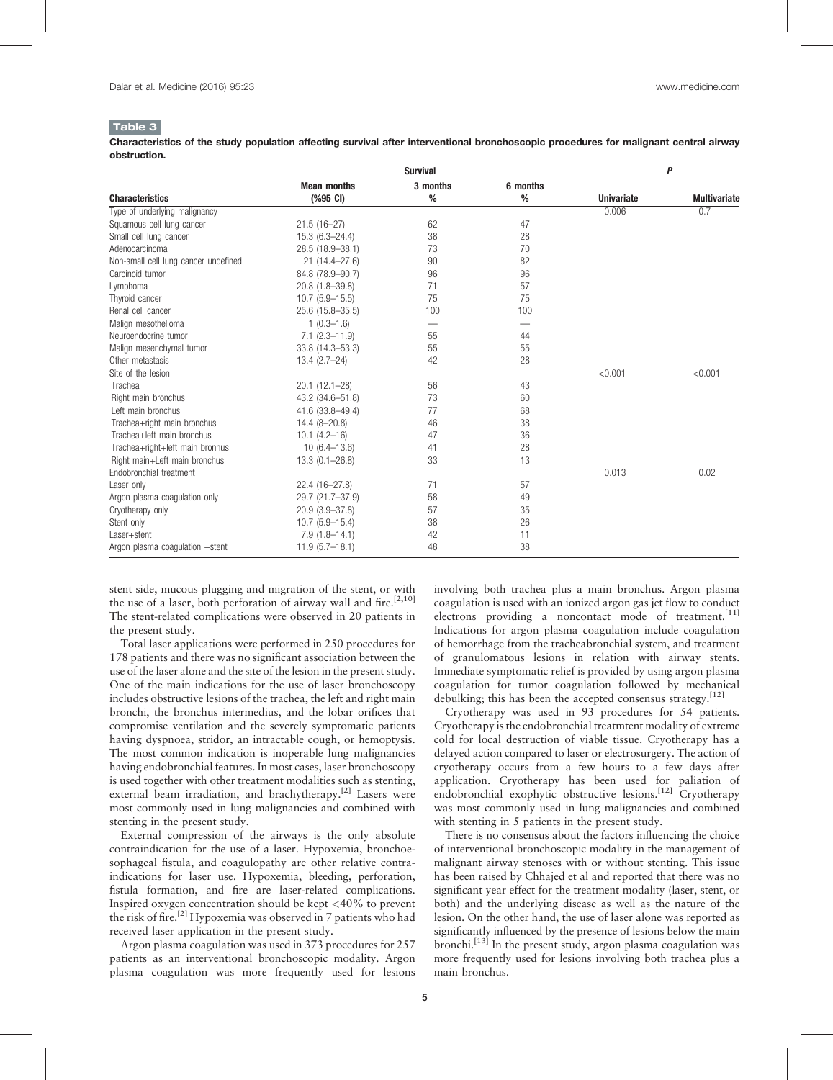#### <span id="page-4-0"></span>Table 3

Characteristics of the study population affecting survival after interventional bronchoscopic procedures for malignant central airway obstruction.

|                                      |                                          | P                |                  |                   |                     |
|--------------------------------------|------------------------------------------|------------------|------------------|-------------------|---------------------|
|                                      | <b>Mean months</b><br>$(%95 \text{ CI})$ | 3 months<br>$\%$ | 6 months<br>$\%$ |                   | <b>Multivariate</b> |
| <b>Characteristics</b>               |                                          |                  |                  | <b>Univariate</b> |                     |
| Type of underlying malignancy        |                                          |                  |                  | 0.006             | 0.7                 |
| Squamous cell lung cancer            | $21.5(16-27)$                            | 62               | 47               |                   |                     |
| Small cell lung cancer               | $15.3(6.3 - 24.4)$                       | 38               | 28               |                   |                     |
| Adenocarcinoma                       | 28.5 (18.9-38.1)                         | 73               | 70               |                   |                     |
| Non-small cell lung cancer undefined | $21(14.4 - 27.6)$                        | 90               | 82               |                   |                     |
| Carcinoid tumor                      | 84.8 (78.9-90.7)                         | 96               | 96               |                   |                     |
| Lymphoma                             | 20.8 (1.8-39.8)                          | 71               | 57               |                   |                     |
| Thyroid cancer                       | $10.7(5.9 - 15.5)$                       | 75               | 75               |                   |                     |
| Renal cell cancer                    | 25.6 (15.8-35.5)                         | 100              | 100              |                   |                     |
| Malign mesothelioma                  | $1(0.3-1.6)$                             | -                |                  |                   |                     |
| Neuroendocrine tumor                 | $7.1(2.3 - 11.9)$                        | 55               | 44               |                   |                     |
| Malign mesenchymal tumor             | 33.8 (14.3-53.3)                         | 55               | 55               |                   |                     |
| Other metastasis                     | $13.4(2.7-24)$                           | 42               | 28               |                   |                     |
| Site of the lesion                   |                                          |                  |                  | < 0.001           | < 0.001             |
| Trachea                              | $20.1(12.1-28)$                          | 56               | 43               |                   |                     |
| Right main bronchus                  | 43.2 (34.6-51.8)                         | 73               | 60               |                   |                     |
| Left main bronchus                   | 41.6 (33.8-49.4)                         | 77               | 68               |                   |                     |
| Trachea+right main bronchus          | $14.4(8 - 20.8)$                         | 46               | 38               |                   |                     |
| Trachea+left main bronchus           | $10.1 (4.2 - 16)$                        | 47               | 36               |                   |                     |
| Trachea+right+left main bronhus      | $10(6.4 - 13.6)$                         | 41               | 28               |                   |                     |
| Right main+Left main bronchus        | $13.3(0.1 - 26.8)$                       | 33               | 13               |                   |                     |
| Endobronchial treatment              |                                          |                  |                  | 0.013             | 0.02                |
| Laser only                           | 22.4 (16-27.8)                           | 71               | 57               |                   |                     |
| Argon plasma coagulation only        | 29.7 (21.7-37.9)                         | 58               | 49               |                   |                     |
| Cryotherapy only                     | 20.9 (3.9-37.8)                          | 57               | 35               |                   |                     |
| Stent only                           | $10.7(5.9-15.4)$                         | 38               | 26               |                   |                     |
| Laser+stent                          | $7.9(1.8 - 14.1)$                        | 42               | 11               |                   |                     |
| Argon plasma coagulation +stent      | $11.9(5.7-18.1)$                         | 48               | 38               |                   |                     |

stent side, mucous plugging and migration of the stent, or with the use of a laser, both perforation of airway wall and fire.<sup>[2,10]</sup> The stent-related complications were observed in 20 patients in the present study.

Total laser applications were performed in 250 procedures for 178 patients and there was no significant association between the use of the laser alone and the site of the lesion in the present study. One of the main indications for the use of laser bronchoscopy includes obstructive lesions of the trachea, the left and right main bronchi, the bronchus intermedius, and the lobar orifices that compromise ventilation and the severely symptomatic patients having dyspnoea, stridor, an intractable cough, or hemoptysis. The most common indication is inoperable lung malignancies having endobronchial features. In most cases, laser bronchoscopy is used together with other treatment modalities such as stenting, external beam irradiation, and brachytherapy.<sup>[\[2\]](#page-5-0)</sup> Lasers were most commonly used in lung malignancies and combined with stenting in the present study.

External compression of the airways is the only absolute contraindication for the use of a laser. Hypoxemia, bronchoesophageal fistula, and coagulopathy are other relative contraindications for laser use. Hypoxemia, bleeding, perforation, fistula formation, and fire are laser-related complications. Inspired oxygen concentration should be kept  $\langle 40\%$  to prevent the risk of fire.<sup>[\[2\]](#page-5-0)</sup> Hypoxemia was observed in 7 patients who had received laser application in the present study.

Argon plasma coagulation was used in 373 procedures for 257 patients as an interventional bronchoscopic modality. Argon plasma coagulation was more frequently used for lesions

involving both trachea plus a main bronchus. Argon plasma coagulation is used with an ionized argon gas jet flow to conduct electrons providing a noncontact mode of treatment.<sup>[\[11\]](#page-5-0)</sup> Indications for argon plasma coagulation include coagulation of hemorrhage from the tracheabronchial system, and treatment of granulomatous lesions in relation with airway stents. Immediate symptomatic relief is provided by using argon plasma coagulation for tumor coagulation followed by mechanical debulking; this has been the accepted consensus strategy.<sup>[\[12\]](#page-5-0)</sup>

Cryotherapy was used in 93 procedures for 54 patients. Cryotherapy is the endobronchial treatmtent modality of extreme cold for local destruction of viable tissue. Cryotherapy has a delayed action compared to laser or electrosurgery. The action of cryotherapy occurs from a few hours to a few days after application. Cryotherapy has been used for paliation of endobronchial exophytic obstructive lesions.<sup>[\[12\]](#page-5-0)</sup> Cryotherapy was most commonly used in lung malignancies and combined with stenting in 5 patients in the present study.

There is no consensus about the factors influencing the choice of interventional bronchoscopic modality in the management of malignant airway stenoses with or without stenting. This issue has been raised by Chhajed et al and reported that there was no significant year effect for the treatment modality (laser, stent, or both) and the underlying disease as well as the nature of the lesion. On the other hand, the use of laser alone was reported as significantly influenced by the presence of lesions below the main bronchi.[\[13\]](#page-5-0) In the present study, argon plasma coagulation was more frequently used for lesions involving both trachea plus a main bronchus.